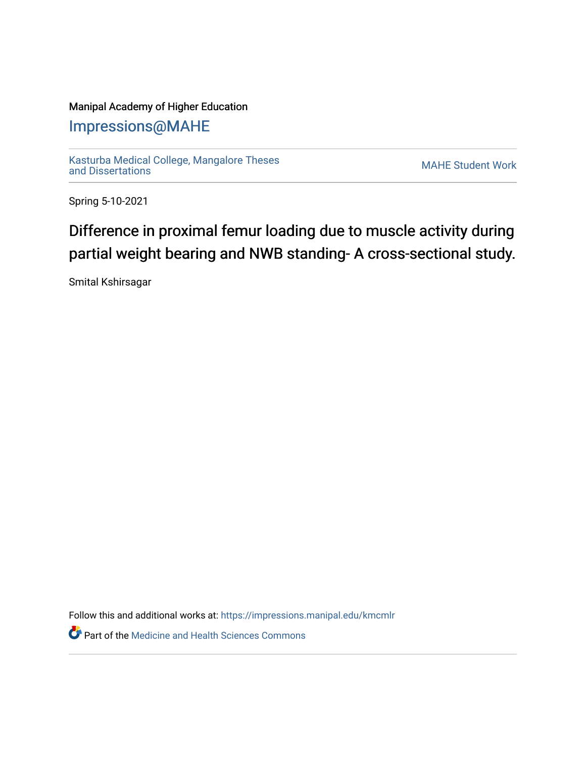## Manipal Academy of Higher Education

## [Impressions@MAHE](https://impressions.manipal.edu/)

[Kasturba Medical College, Mangalore Theses](https://impressions.manipal.edu/kmcmlr) [and Dissertations](https://impressions.manipal.edu/kmcmlr) [MAHE Student Work](https://impressions.manipal.edu/student-work) 

Spring 5-10-2021

## Difference in proximal femur loading due to muscle activity during partial weight bearing and NWB standing- A cross-sectional study.

Smital Kshirsagar

Follow this and additional works at: [https://impressions.manipal.edu/kmcmlr](https://impressions.manipal.edu/kmcmlr?utm_source=impressions.manipal.edu%2Fkmcmlr%2F134&utm_medium=PDF&utm_campaign=PDFCoverPages) 

**Part of the Medicine and Health Sciences Commons**